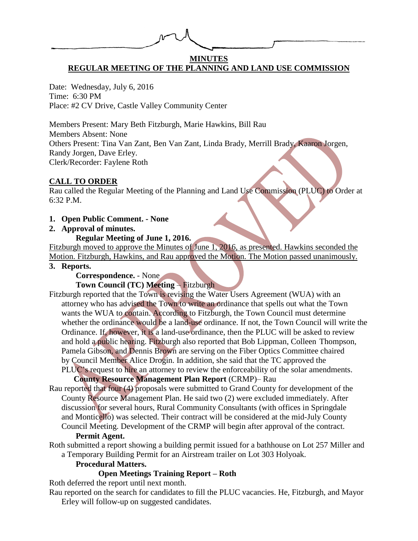# **MINUTES REGULAR MEETING OF THE PLANNING AND LAND USE COMMISSION**

Date: Wednesday, July 6, 2016 Time: 6:30 PM Place: #2 CV Drive, Castle Valley Community Center

Members Present: Mary Beth Fitzburgh, Marie Hawkins, Bill Rau Members Absent: None Others Present: Tina Van Zant, Ben Van Zant, Linda Brady, Merrill Brady, Kaaron Jorgen, Randy Jorgen, Dave Erley. Clerk/Recorder: Faylene Roth

# **CALL TO ORDER**

Rau called the Regular Meeting of the Planning and Land Use Commission (PLUC) to Order at 6:32 P.M.

#### **1. Open Public Comment. - None**

#### **2. Approval of minutes.**

## **Regular Meeting of June 1, 2016.**

Fitzburgh moved to approve the Minutes of June 1, 2016, as presented. Hawkins seconded the Motion. Fitzburgh, Hawkins, and Rau approved the Motion. The Motion passed unanimously.

#### **3. Reports.**

# **Correspondence.** - None

# **Town Council (TC) Meeting** – Fitzburgh

Fitzburgh reported that the Town is revising the Water Users Agreement (WUA) with an attorney who has advised the Town to write an ordinance that spells out what the Town wants the WUA to contain. According to Fitzburgh, the Town Council must determine whether the ordinance would be a land-use ordinance. If not, the Town Council will write the Ordinance. If, however, it is a land-use ordinance, then the PLUC will be asked to review and hold a public hearing. Fitzburgh also reported that Bob Lippman, Colleen Thompson, Pamela Gibson, and Dennis Brown are serving on the Fiber Optics Committee chaired by Council Member Alice Drogin. In addition, she said that the TC approved the PLUC's request to hire an attorney to review the enforceability of the solar amendments.

#### **County Resource Management Plan Report** (CRMP)– Rau

Rau reported that four (4) proposals were submitted to Grand County for development of the County Resource Management Plan. He said two (2) were excluded immediately. After discussion for several hours, Rural Community Consultants (with offices in Springdale and Monticello) was selected. Their contract will be considered at the mid-July County Council Meeting. Development of the CRMP will begin after approval of the contract.

#### **Permit Agent.**

Roth submitted a report showing a building permit issued for a bathhouse on Lot 257 Miller and a Temporary Building Permit for an Airstream trailer on Lot 303 Holyoak.

# **Procedural Matters.**

# **Open Meetings Training Report – Roth**

Roth deferred the report until next month.

Rau reported on the search for candidates to fill the PLUC vacancies. He, Fitzburgh, and Mayor Erley will follow-up on suggested candidates.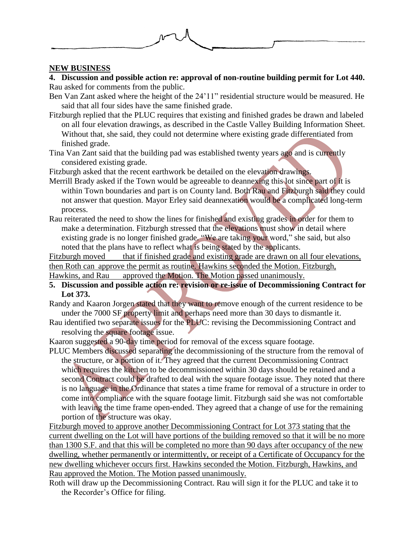

## **NEW BUSINESS**

**4. Discussion and possible action re: approval of non-routine building permit for Lot 440.** Rau asked for comments from the public.

- Ben Van Zant asked where the height of the 24'11" residential structure would be measured. He said that all four sides have the same finished grade.
- Fitzburgh replied that the PLUC requires that existing and finished grades be drawn and labeled on all four elevation drawings, as described in the Castle Valley Building Information Sheet. Without that, she said, they could not determine where existing grade differentiated from finished grade.
- Tina Van Zant said that the building pad was established twenty years ago and is currently considered existing grade.

Fitzburgh asked that the recent earthwork be detailed on the elevation drawings.

- Merrill Brady asked if the Town would be agreeable to deannexing this lot since part of it is within Town boundaries and part is on County land. Both Rau and Fitzburgh said they could not answer that question. Mayor Erley said deannexation would be a complicated long-term process.
- Rau reiterated the need to show the lines for finished and existing grades in order for them to make a determination. Fitzburgh stressed that the elevations must show in detail where existing grade is no longer finished grade. "We are taking your word," she said, but also noted that the plans have to reflect what is being stated by the applicants.

Fitzburgh moved that if finished grade and existing grade are drawn on all four elevations, then Roth can approve the permit as routine. Hawkins seconded the Motion. Fitzburgh,

Hawkins, and Rau approved the Motion. The Motion passed unanimously.

**5. Discussion and possible action re: revision or re-issue of Decommissioning Contract for Lot 373.**

Randy and Kaaron Jorgen stated that they want to remove enough of the current residence to be under the 7000 SF property limit and perhaps need more than 30 days to dismantle it.

Rau identified two separate issues for the PLUC: revising the Decommissioning Contract and resolving the square footage issue.

Kaaron suggested a 90-day time period for removal of the excess square footage.

PLUC Members discussed separating the decommissioning of the structure from the removal of the structure, or a portion of it. They agreed that the current Decommissioning Contract which requires the kitchen to be decommissioned within 30 days should be retained and a second Contract could be drafted to deal with the square footage issue. They noted that there is no language in the Ordinance that states a time frame for removal of a structure in order to come into compliance with the square footage limit. Fitzburgh said she was not comfortable with leaving the time frame open-ended. They agreed that a change of use for the remaining portion of the structure was okay.

Fitzburgh moved to approve another Decommissioning Contract for Lot 373 stating that the current dwelling on the Lot will have portions of the building removed so that it will be no more than 1300 S.F. and that this will be completed no more than 90 days after occupancy of the new dwelling, whether permanently or intermittently, or receipt of a Certificate of Occupancy for the new dwelling whichever occurs first. Hawkins seconded the Motion. Fitzburgh, Hawkins, and Rau approved the Motion. The Motion passed unanimously.

Roth will draw up the Decommissioning Contract. Rau will sign it for the PLUC and take it to the Recorder's Office for filing.